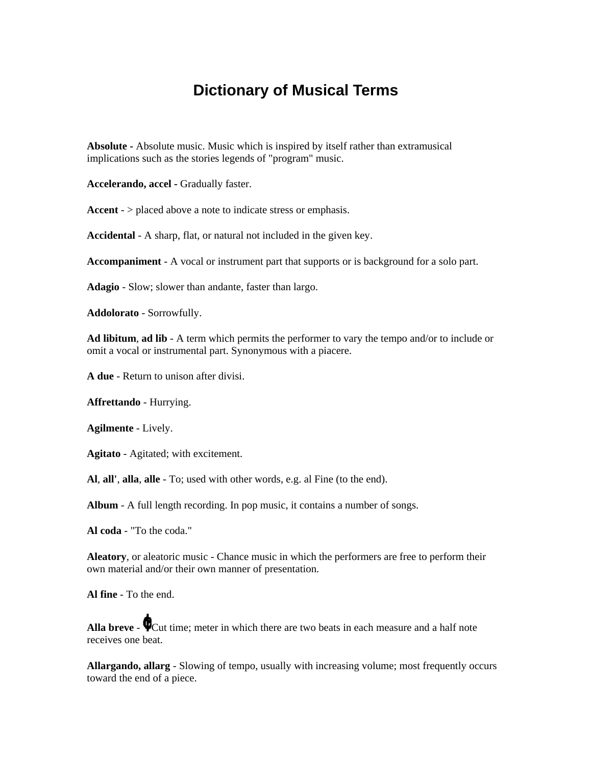## **Dictionary of Musical Terms**

**Absolute -** Absolute music. Music which is inspired by itself rather than extramusical implications such as the stories legends of "program" music.

**Accelerando, accel -** Gradually faster.

Accent - > placed above a note to indicate stress or emphasis.

**Accidental** - A sharp, flat, or natural not included in the given key.

**Accompaniment** - A vocal or instrument part that supports or is background for a solo part.

**Adagio** - Slow; slower than andante, faster than largo.

**Addolorato** - Sorrowfully.

**Ad libitum**, **ad lib** - A term which permits the performer to vary the tempo and/or to include or omit a vocal or instrumental part. Synonymous with a piacere.

**A due** - Return to unison after divisi.

**Affrettando** - Hurrying.

**Agilmente** - Lively.

**Agitato** - Agitated; with excitement.

**Al**, **all'**, **alla**, **alle** - To; used with other words, e.g. al Fine (to the end).

**Album** - A full length recording. In pop music, it contains a number of songs.

**Al coda** - "To the coda."

**Aleatory**, or aleatoric music - Chance music in which the performers are free to perform their own material and/or their own manner of presentation.

**Al fine** - To the end.

**Alla breve -**  $\bigcirc$  Cut time; meter in which there are two beats in each measure and a half note receives one beat.

**Allargando, allarg** - Slowing of tempo, usually with increasing volume; most frequently occurs toward the end of a piece.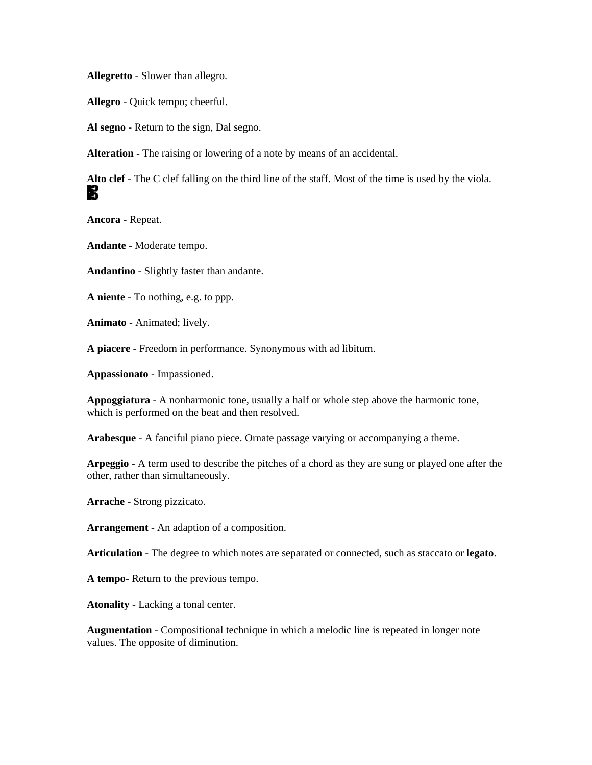**Allegretto** - Slower than allegro.

**Allegro** - Quick tempo; cheerful.

**Al segno** - Return to the sign, Dal segno.

**Alteration** - The raising or lowering of a note by means of an accidental.

**Alto clef** - The C clef falling on the third line of the staff. Most of the time is used by the viola. K

**Ancora** - Repeat.

**Andante** - Moderate tempo.

**Andantino** - Slightly faster than andante.

**A niente** - To nothing, e.g. to ppp.

**Animato** - Animated; lively.

**A piacere** - Freedom in performance. Synonymous with ad libitum.

**Appassionato** - Impassioned.

**Appoggiatura** - A nonharmonic tone, usually a half or whole step above the harmonic tone, which is performed on the beat and then resolved.

**Arabesque** - A fanciful piano piece. Ornate passage varying or accompanying a theme.

**Arpeggio** - A term used to describe the pitches of a chord as they are sung or played one after the other, rather than simultaneously.

**Arrache** - Strong pizzicato.

**Arrangement** - An adaption of a composition.

**Articulation** - The degree to which notes are separated or connected, such as staccato or **legato**.

**A tempo**- Return to the previous tempo.

**Atonality** - Lacking a tonal center.

**Augmentation** - Compositional technique in which a melodic line is repeated in longer note values. The opposite of diminution.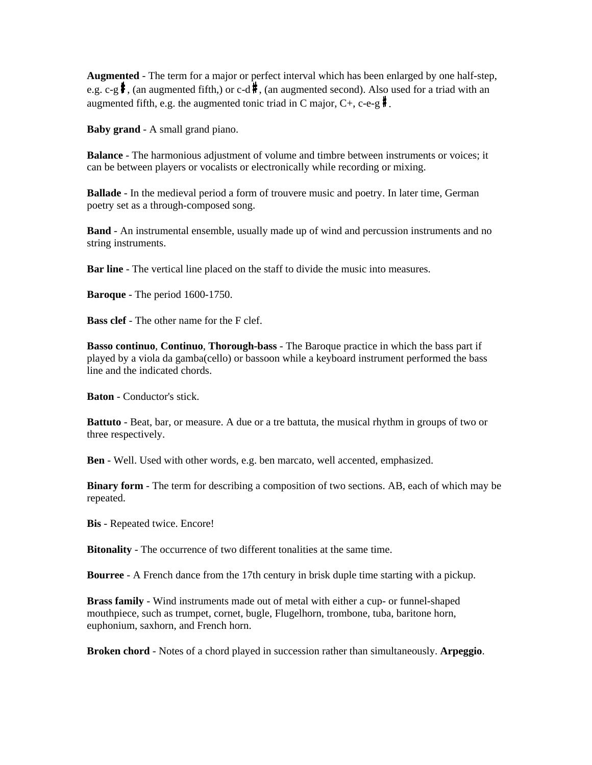**Augmented** - The term for a major or perfect interval which has been enlarged by one half-step, e.g. c-g  $\frac{4}{3}$ , (an augmented fifth,) or c-d  $\frac{4}{3}$ , (an augmented second). Also used for a triad with an augmented fifth, e.g. the augmented tonic triad in C major,  $C_+$ , c-e-g  $\mathbf{\hat{F}}$ .

**Baby grand** - A small grand piano.

**Balance** - The harmonious adjustment of volume and timbre between instruments or voices; it can be between players or vocalists or electronically while recording or mixing.

**Ballade** - In the medieval period a form of trouvere music and poetry. In later time, German poetry set as a through-composed song.

**Band** - An instrumental ensemble, usually made up of wind and percussion instruments and no string instruments.

**Bar line** - The vertical line placed on the staff to divide the music into measures.

**Baroque** - The period 1600-1750.

**Bass clef** - The other name for the F clef.

**Basso continuo**, **Continuo**, **Thorough-bass** - The Baroque practice in which the bass part if played by a viola da gamba(cello) or bassoon while a keyboard instrument performed the bass line and the indicated chords.

**Baton** - Conductor's stick.

**Battuto** - Beat, bar, or measure. A due or a tre battuta, the musical rhythm in groups of two or three respectively.

**Ben** - Well. Used with other words, e.g. ben marcato, well accented, emphasized.

**Binary form** - The term for describing a composition of two sections. AB, each of which may be repeated.

**Bis** - Repeated twice. Encore!

**Bitonality** - The occurrence of two different tonalities at the same time.

**Bourree** - A French dance from the 17th century in brisk duple time starting with a pickup.

**Brass family** - Wind instruments made out of metal with either a cup- or funnel-shaped mouthpiece, such as trumpet, cornet, bugle, Flugelhorn, trombone, tuba, baritone horn, euphonium, saxhorn, and French horn.

**Broken chord** - Notes of a chord played in succession rather than simultaneously. **Arpeggio**.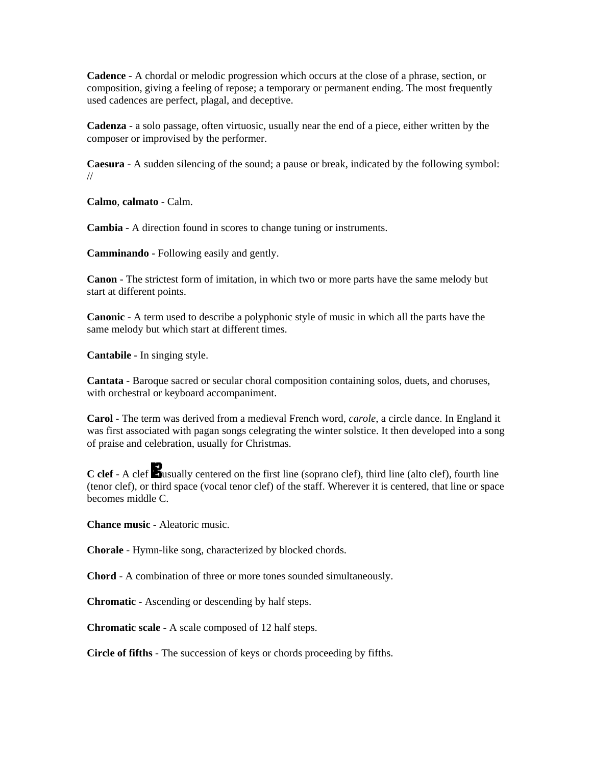**Cadence** - A chordal or melodic progression which occurs at the close of a phrase, section, or composition, giving a feeling of repose; a temporary or permanent ending. The most frequently used cadences are perfect, plagal, and deceptive.

**Cadenza** - a solo passage, often virtuosic, usually near the end of a piece, either written by the composer or improvised by the performer.

**Caesura** - A sudden silencing of the sound; a pause or break, indicated by the following symbol: //

**Calmo**, **calmato** - Calm.

**Cambia** - A direction found in scores to change tuning or instruments.

**Camminando** - Following easily and gently.

**Canon** - The strictest form of imitation, in which two or more parts have the same melody but start at different points.

**Canonic** - A term used to describe a polyphonic style of music in which all the parts have the same melody but which start at different times.

**Cantabile** - In singing style.

**Cantata** - Baroque sacred or secular choral composition containing solos, duets, and choruses, with orchestral or keyboard accompaniment.

**Carol** - The term was derived from a medieval French word, *carole*, a circle dance. In England it was first associated with pagan songs celegrating the winter solstice. It then developed into a song of praise and celebration, usually for Christmas.

**C clef** - A clef **b**usually centered on the first line (soprano clef), third line (alto clef), fourth line (tenor clef), or third space (vocal tenor clef) of the staff. Wherever it is centered, that line or space becomes middle C.

**Chance music** - Aleatoric music.

**Chorale** - Hymn-like song, characterized by blocked chords.

**Chord** - A combination of three or more tones sounded simultaneously.

**Chromatic** - Ascending or descending by half steps.

**Chromatic scale** - A scale composed of 12 half steps.

**Circle of fifths** - The succession of keys or chords proceeding by fifths.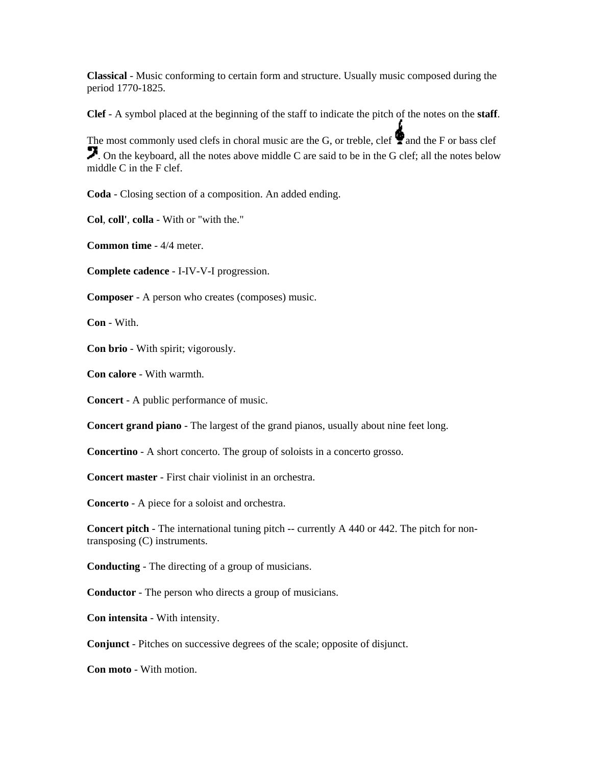**Classical** - Music conforming to certain form and structure. Usually music composed during the period 1770-1825.

**Clef** - A symbol placed at the beginning of the staff to indicate the pitch of the notes on the **staff**.

The most commonly used clefs in choral music are the G, or treble, clef  $\bullet$  and the F or bass clef . On the keyboard, all the notes above middle C are said to be in the G clef; all the notes below middle C in the F clef.

**Coda** - Closing section of a composition. An added ending.

**Col**, **coll'**, **colla** - With or "with the."

**Common time** - 4/4 meter.

**Complete cadence** - I-IV-V-I progression.

**Composer** - A person who creates (composes) music.

**Con** - With.

**Con brio** - With spirit; vigorously.

**Con calore** - With warmth.

**Concert** - A public performance of music.

**Concert grand piano** - The largest of the grand pianos, usually about nine feet long.

**Concertino** - A short concerto. The group of soloists in a concerto grosso.

**Concert master** - First chair violinist in an orchestra.

**Concerto** - A piece for a soloist and orchestra.

**Concert pitch** - The international tuning pitch -- currently A 440 or 442. The pitch for nontransposing (C) instruments.

**Conducting** - The directing of a group of musicians.

**Conductor** - The person who directs a group of musicians.

**Con intensita** - With intensity.

**Conjunct** - Pitches on successive degrees of the scale; opposite of disjunct.

**Con moto** - With motion.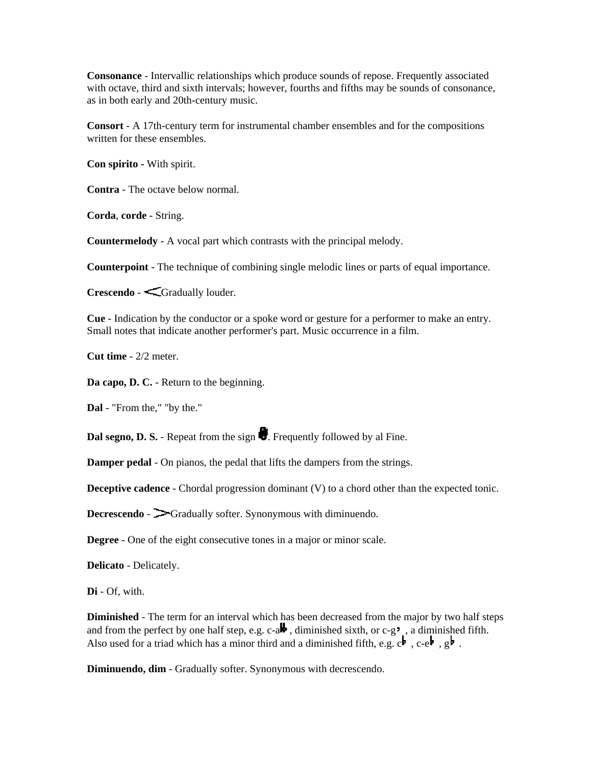**Consonance** - Intervallic relationships which produce sounds of repose. Frequently associated with octave, third and sixth intervals; however, fourths and fifths may be sounds of consonance, as in both early and 20th-century music.

**Consort** - A 17th-century term for instrumental chamber ensembles and for the compositions written for these ensembles.

**Con spirito -** With spirit.

**Contra** - The octave below normal.

**Corda**, **corde** - String.

**Countermelody** - A vocal part which contrasts with the principal melody.

**Counterpoint** - The technique of combining single melodic lines or parts of equal importance.

**Crescendo** - Gradually louder.

**Cue** - Indication by the conductor or a spoke word or gesture for a performer to make an entry. Small notes that indicate another performer's part. Music occurrence in a film.

**Cut time** - 2/2 meter.

**Da capo, D. C.** - Return to the beginning.

**Dal** - "From the," "by the."

**Dal segno, D. S.** - Repeat from the sign  $\bullet$ . Frequently followed by al Fine.

**Damper pedal** - On pianos, the pedal that lifts the dampers from the strings.

**Deceptive cadence** - Chordal progression dominant (V) to a chord other than the expected tonic.

**Decrescendo** -  $\rightarrow$  Gradually softer. Synonymous with diminuendo.

**Degree** - One of the eight consecutive tones in a major or minor scale.

**Delicato** - Delicately.

**Di** - Of, with.

**Diminished** - The term for an interval which has been decreased from the major by two half steps and from the perfect by one half step, e.g. c-a**b**, diminished sixth, or c-g<sup>-</sup>, a diminished fifth. Also used for a triad which has a minor third and a diminished fifth, e.g.  $c^{\frac{1}{2}}$ ,  $c-e^{\frac{1}{2}}$ ,  $g^{\frac{1}{2}}$ .

**Diminuendo, dim** - Gradually softer. Synonymous with decrescendo.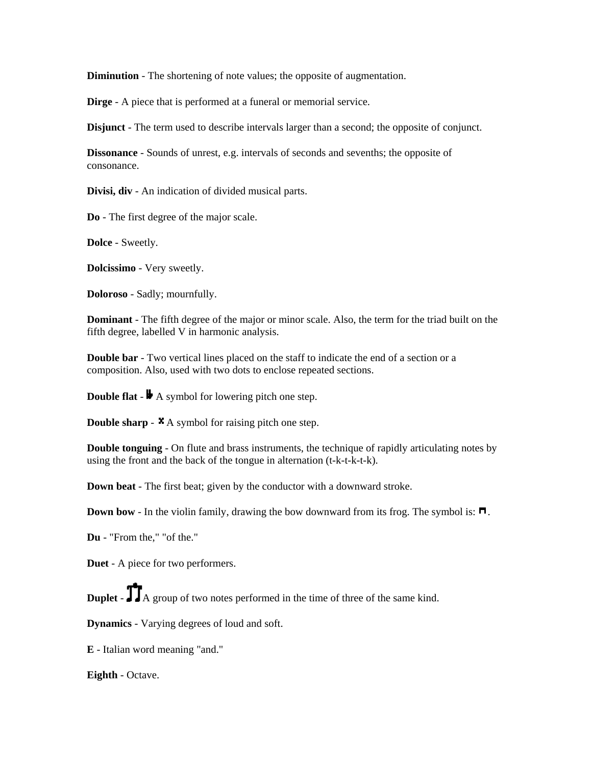**Diminution** - The shortening of note values; the opposite of augmentation.

**Dirge** - A piece that is performed at a funeral or memorial service.

**Disjunct** - The term used to describe intervals larger than a second; the opposite of conjunct.

**Dissonance** - Sounds of unrest, e.g. intervals of seconds and sevenths; the opposite of consonance.

**Divisi, div** - An indication of divided musical parts.

**Do** - The first degree of the major scale.

**Dolce** - Sweetly.

**Dolcissimo** - Very sweetly.

**Doloroso** - Sadly; mournfully.

**Dominant** - The fifth degree of the major or minor scale. Also, the term for the triad built on the fifth degree, labelled V in harmonic analysis.

**Double bar** - Two vertical lines placed on the staff to indicate the end of a section or a composition. Also, used with two dots to enclose repeated sections.

**Double flat** -  $\blacktriangleright$  A symbol for lowering pitch one step.

**Double sharp** -  $\star$  A symbol for raising pitch one step.

**Double tonguing** - On flute and brass instruments, the technique of rapidly articulating notes by using the front and the back of the tongue in alternation (t-k-t-k-t-k).

**Down beat** - The first beat; given by the conductor with a downward stroke.

**Down bow** - In the violin family, drawing the bow downward from its frog. The symbol is:  $\blacksquare$ .

**Du** - "From the," "of the."

**Duet** - A piece for two performers.

**Duplet** -  $\prod A$  group of two notes performed in the time of three of the same kind.

**Dynamics** - Varying degrees of loud and soft.

**E** - Italian word meaning "and."

**Eighth** - Octave.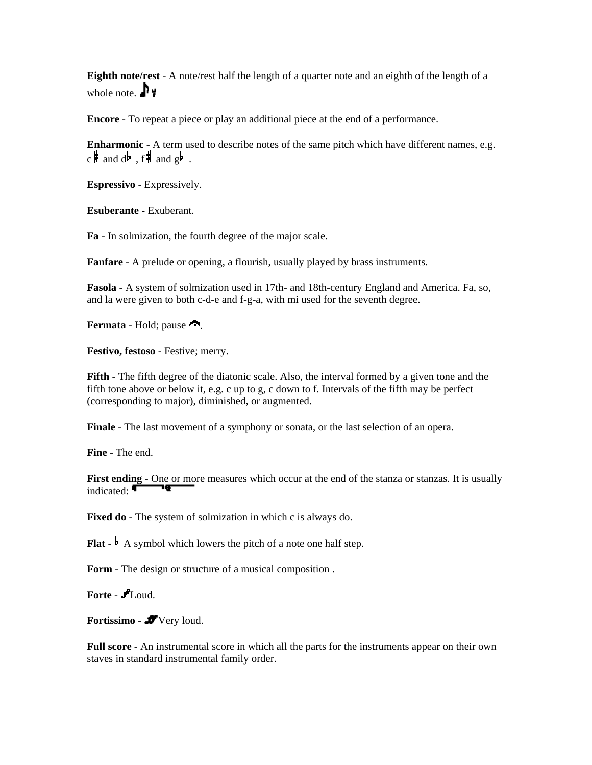**Eighth note/rest** - A note/rest half the length of a quarter note and an eighth of the length of a whole note.  $\mathbf{P}$ 

**Encore** - To repeat a piece or play an additional piece at the end of a performance.

**Enharmonic** - A term used to describe notes of the same pitch which have different names, e.g.  $c \cdot$  and  $d \cdot$  , f and  $g \cdot$  .

**Espressivo** - Expressively.

**Esuberante -** Exuberant.

**Fa** - In solmization, the fourth degree of the major scale.

**Fanfare** - A prelude or opening, a flourish, usually played by brass instruments.

**Fasola** - A system of solmization used in 17th- and 18th-century England and America. Fa, so, and la were given to both c-d-e and f-g-a, with mi used for the seventh degree.

**Fermata** - Hold; pause

**Festivo, festoso** - Festive; merry.

**Fifth** - The fifth degree of the diatonic scale. Also, the interval formed by a given tone and the fifth tone above or below it, e.g. c up to g, c down to f. Intervals of the fifth may be perfect (corresponding to major), diminished, or augmented.

**Finale** - The last movement of a symphony or sonata, or the last selection of an opera.

**Fine** - The end.

First ending - One or more measures which occur at the end of the stanza or stanzas. It is usually indicated:

**Fixed do** - The system of solmization in which c is always do.

**Flat**  $\cdot$  **A** symbol which lowers the pitch of a note one half step.

**Form** - The design or structure of a musical composition .

**Forte** - Loud.

Fortissimo - **J**Very loud.

**Full score** - An instrumental score in which all the parts for the instruments appear on their own staves in standard instrumental family order.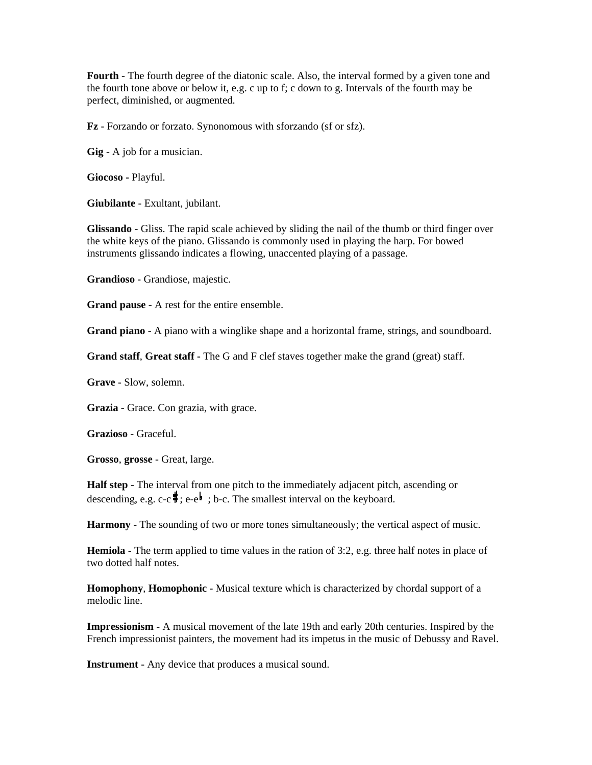**Fourth** - The fourth degree of the diatonic scale. Also, the interval formed by a given tone and the fourth tone above or below it, e.g. c up to f; c down to g. Intervals of the fourth may be perfect, diminished, or augmented.

**Fz** - Forzando or forzato. Synonomous with sforzando (sf or sfz).

**Gig** - A job for a musician.

**Giocoso -** Playful.

**Giubilante** - Exultant, jubilant.

**Glissando** - Gliss. The rapid scale achieved by sliding the nail of the thumb or third finger over the white keys of the piano. Glissando is commonly used in playing the harp. For bowed instruments glissando indicates a flowing, unaccented playing of a passage.

**Grandioso** - Grandiose, majestic.

**Grand pause** - A rest for the entire ensemble.

**Grand piano** - A piano with a winglike shape and a horizontal frame, strings, and soundboard.

**Grand staff**, **Great staff -** The G and F clef staves together make the grand (great) staff.

**Grave** - Slow, solemn.

**Grazia** - Grace. Con grazia, with grace.

**Grazioso** - Graceful.

**Grosso**, **grosse** - Great, large.

**Half step** - The interval from one pitch to the immediately adjacent pitch, ascending or descending, e.g.  $c-c$ ,  $\frac{1}{2}$ ; e-e.g. The smallest interval on the keyboard.

**Harmony** - The sounding of two or more tones simultaneously; the vertical aspect of music.

**Hemiola** - The term applied to time values in the ration of 3:2, e.g. three half notes in place of two dotted half notes.

**Homophony**, **Homophonic** - Musical texture which is characterized by chordal support of a melodic line.

**Impressionism** - A musical movement of the late 19th and early 20th centuries. Inspired by the French impressionist painters, the movement had its impetus in the music of Debussy and Ravel.

**Instrument** - Any device that produces a musical sound.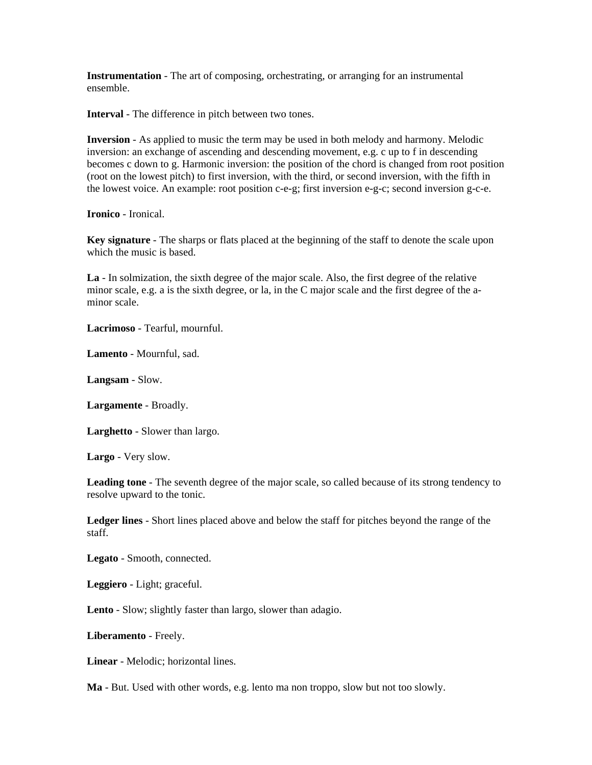**Instrumentation** - The art of composing, orchestrating, or arranging for an instrumental ensemble.

**Interval** - The difference in pitch between two tones.

**Inversion** - As applied to music the term may be used in both melody and harmony. Melodic inversion: an exchange of ascending and descending movement, e.g. c up to f in descending becomes c down to g. Harmonic inversion: the position of the chord is changed from root position (root on the lowest pitch) to first inversion, with the third, or second inversion, with the fifth in the lowest voice. An example: root position c-e-g; first inversion e-g-c; second inversion g-c-e.

**Ironico** - Ironical.

**Key signature** - The sharps or flats placed at the beginning of the staff to denote the scale upon which the music is based.

**La** - In solmization, the sixth degree of the major scale. Also, the first degree of the relative minor scale, e.g. a is the sixth degree, or la, in the C major scale and the first degree of the aminor scale.

**Lacrimoso** - Tearful, mournful.

**Lamento** - Mournful, sad.

**Langsam** - Slow.

**Largamente** - Broadly.

**Larghetto** - Slower than largo.

**Largo** - Very slow.

**Leading tone** - The seventh degree of the major scale, so called because of its strong tendency to resolve upward to the tonic.

**Ledger lines** - Short lines placed above and below the staff for pitches beyond the range of the staff.

**Legato** - Smooth, connected.

**Leggiero** - Light; graceful.

**Lento** - Slow; slightly faster than largo, slower than adagio.

**Liberamento** - Freely.

**Linear** - Melodic; horizontal lines.

**Ma** - But. Used with other words, e.g. lento ma non troppo, slow but not too slowly.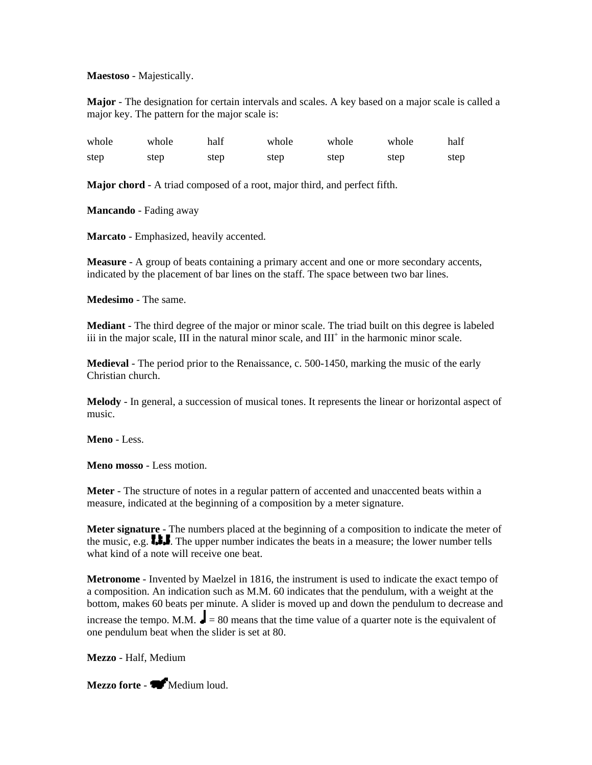**Maestoso** - Majestically.

**Major** - The designation for certain intervals and scales. A key based on a major scale is called a major key. The pattern for the major scale is:

| whole | whole | half | whole | whole | whole | half |
|-------|-------|------|-------|-------|-------|------|
| step  | step  | step | step  | step  | step  | step |

**Major chord** - A triad composed of a root, major third, and perfect fifth.

**Mancando** - Fading away

**Marcato** - Emphasized, heavily accented.

**Measure** - A group of beats containing a primary accent and one or more secondary accents, indicated by the placement of bar lines on the staff. The space between two bar lines.

**Medesimo** - The same.

**Mediant** - The third degree of the major or minor scale. The triad built on this degree is labeled iii in the major scale,  $III$  in the natural minor scale, and  $III<sup>+</sup>$  in the harmonic minor scale.

**Medieval** - The period prior to the Renaissance, c. 500-1450, marking the music of the early Christian church.

**Melody** - In general, a succession of musical tones. It represents the linear or horizontal aspect of music.

**Meno** - Less.

**Meno mosso** - Less motion.

**Meter** - The structure of notes in a regular pattern of accented and unaccented beats within a measure, indicated at the beginning of a composition by a meter signature.

**Meter signature** - The numbers placed at the beginning of a composition to indicate the meter of the music, e.g.  $\mathbf{L}$ . The upper number indicates the beats in a measure; the lower number tells what kind of a note will receive one beat.

**Metronome** - Invented by Maelzel in 1816, the instrument is used to indicate the exact tempo of a composition. An indication such as M.M. 60 indicates that the pendulum, with a weight at the bottom, makes 60 beats per minute. A slider is moved up and down the pendulum to decrease and increase the tempo. M.M.  $\blacksquare = 80$  means that the time value of a quarter note is the equivalent of one pendulum beat when the slider is set at 80.

**Mezzo** - Half, Medium

Mezzo forte - **Medium loud.**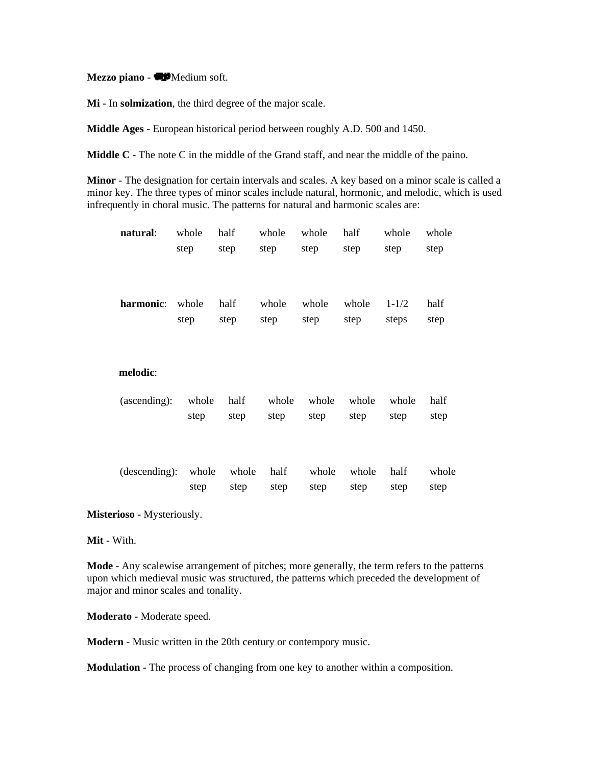Mezzo piano - **W**Medium soft.

**Mi** - In **solmization**, the third degree of the major scale.

**Middle Ages** - European historical period between roughly A.D. 500 and 1450.

**Middle C** - The note C in the middle of the Grand staff, and near the middle of the paino.

**Minor** - The designation for certain intervals and scales. A key based on a minor scale is called a minor key. The three types of minor scales include natural, hormonic, and melodic, which is used infrequently in choral music. The patterns for natural and harmonic scales are:

| natural:      | whole<br>step | half<br>step  | whole<br>step | whole<br>step | half<br>step  | whole<br>step      | whole<br>step |
|---------------|---------------|---------------|---------------|---------------|---------------|--------------------|---------------|
| harmonic:     | whole<br>step | half<br>step  | whole<br>step | whole<br>step | whole<br>step | $1 - 1/2$<br>steps | half<br>step  |
| melodic:      |               |               |               |               |               |                    |               |
| (ascending):  | whole<br>step | half<br>step  | whole<br>step | whole<br>step | whole<br>step | whole<br>step      | half<br>step  |
| (descending): | whole<br>step | whole<br>step | half<br>step  | whole<br>step | whole<br>step | half<br>step       | whole<br>step |

**Misterioso** - Mysteriously.

**Mit** - With.

**Mode** - Any scalewise arrangement of pitches; more generally, the term refers to the patterns upon which medieval music was structured, the patterns which preceded the development of major and minor scales and tonality.

**Moderato** - Moderate speed.

**Modern** - Music written in the 20th century or contempory music.

**Modulation** - The process of changing from one key to another within a composition.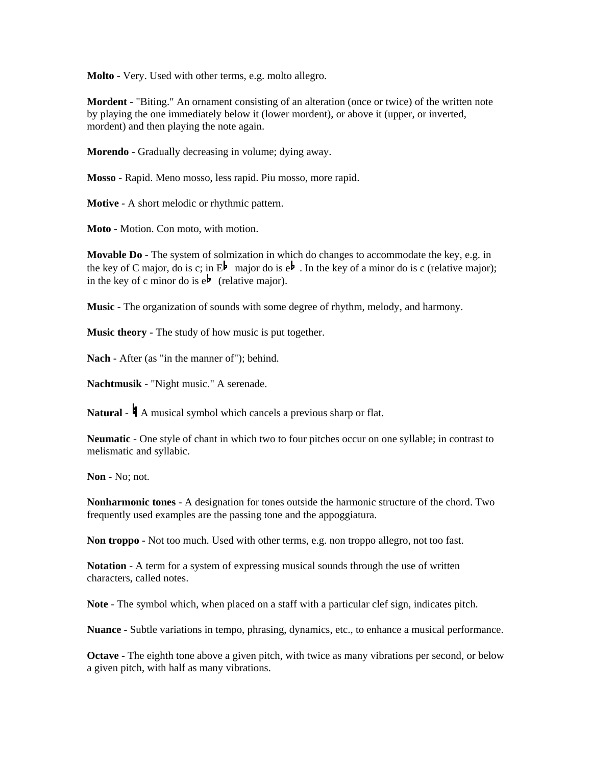**Molto** - Very. Used with other terms, e.g. molto allegro.

**Mordent** - "Biting." An ornament consisting of an alteration (once or twice) of the written note by playing the one immediately below it (lower mordent), or above it (upper, or inverted, mordent) and then playing the note again.

**Morendo** - Gradually decreasing in volume; dying away.

**Mosso** - Rapid. Meno mosso, less rapid. Piu mosso, more rapid.

**Motive** - A short melodic or rhythmic pattern.

**Moto** - Motion. Con moto, with motion.

**Movable Do** - The system of solmization in which do changes to accommodate the key, e.g. in the key of C major, do is c; in  $E^{\frac{1}{2}}$  major do is  $e^{\frac{1}{2}}$ . In the key of a minor do is c (relative major); in the key of c minor do is  $e^{\mathbf{b}}$  (relative major).

**Music** - The organization of sounds with some degree of rhythm, melody, and harmony.

**Music theory** - The study of how music is put together.

**Nach** - After (as "in the manner of"); behind.

**Nachtmusik** - "Night music." A serenade.

**Natural** -  $\mathbf{A}$  musical symbol which cancels a previous sharp or flat.

**Neumatic** - One style of chant in which two to four pitches occur on one syllable; in contrast to melismatic and syllabic.

**Non** - No; not.

**Nonharmonic tones** - A designation for tones outside the harmonic structure of the chord. Two frequently used examples are the passing tone and the appoggiatura.

**Non troppo** - Not too much. Used with other terms, e.g. non troppo allegro, not too fast.

**Notation** - A term for a system of expressing musical sounds through the use of written characters, called notes.

**Note** - The symbol which, when placed on a staff with a particular clef sign, indicates pitch.

**Nuance** - Subtle variations in tempo, phrasing, dynamics, etc., to enhance a musical performance.

**Octave** - The eighth tone above a given pitch, with twice as many vibrations per second, or below a given pitch, with half as many vibrations.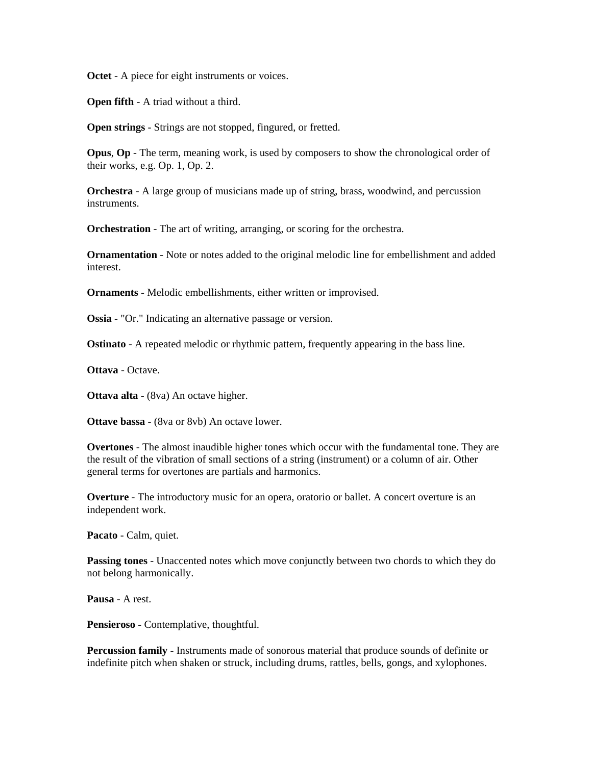**Octet** - A piece for eight instruments or voices.

**Open fifth** - A triad without a third.

**Open strings** - Strings are not stopped, fingured, or fretted.

**Opus**, **Op** - The term, meaning work, is used by composers to show the chronological order of their works, e.g. Op. 1, Op. 2.

**Orchestra** - A large group of musicians made up of string, brass, woodwind, and percussion instruments.

**Orchestration** - The art of writing, arranging, or scoring for the orchestra.

**Ornamentation** - Note or notes added to the original melodic line for embellishment and added interest.

**Ornaments** - Melodic embellishments, either written or improvised.

**Ossia** - "Or." Indicating an alternative passage or version.

**Ostinato** - A repeated melodic or rhythmic pattern, frequently appearing in the bass line.

**Ottava** - Octave.

**Ottava alta** - (8va) An octave higher.

**Ottave bassa** - (8va or 8vb) An octave lower.

**Overtones** - The almost inaudible higher tones which occur with the fundamental tone. They are the result of the vibration of small sections of a string (instrument) or a column of air. Other general terms for overtones are partials and harmonics.

**Overture** - The introductory music for an opera, oratorio or ballet. A concert overture is an independent work.

**Pacato** - Calm, quiet.

**Passing tones** - Unaccented notes which move conjunctly between two chords to which they do not belong harmonically.

**Pausa** - A rest.

**Pensieroso** - Contemplative, thoughtful.

**Percussion family** - Instruments made of sonorous material that produce sounds of definite or indefinite pitch when shaken or struck, including drums, rattles, bells, gongs, and xylophones.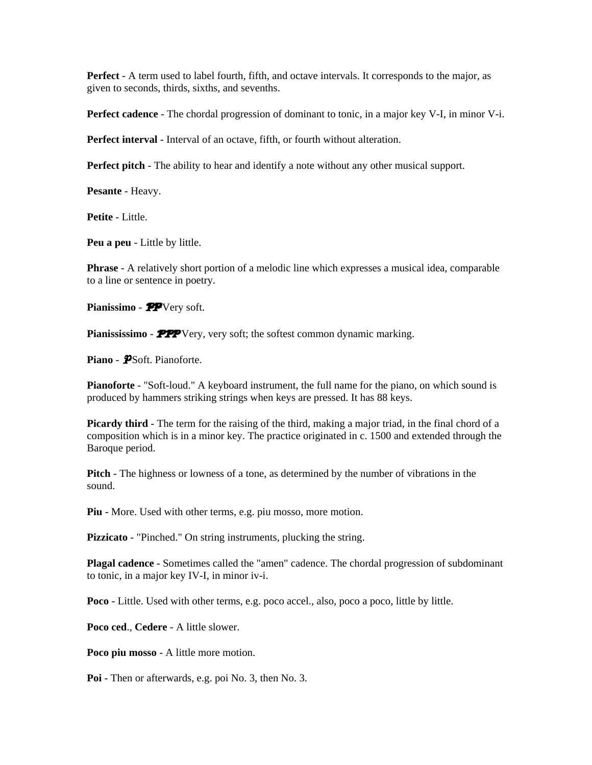**Perfect** - A term used to label fourth, fifth, and octave intervals. It corresponds to the major, as given to seconds, thirds, sixths, and sevenths.

**Perfect cadence** - The chordal progression of dominant to tonic, in a major key V-I, in minor V-i.

**Perfect interval** - Interval of an octave, fifth, or fourth without alteration.

**Perfect pitch** - The ability to hear and identify a note without any other musical support.

**Pesante** - Heavy.

**Petite** - Little.

**Peu a peu** - Little by little.

**Phrase** - A relatively short portion of a melodic line which expresses a musical idea, comparable to a line or sentence in poetry.

Pianissimo - **PP**Very soft.

Pianississimo - **PPP** Very, very soft; the softest common dynamic marking.

Piano - PSoft. Pianoforte.

**Pianoforte** - "Soft-loud." A keyboard instrument, the full name for the piano, on which sound is produced by hammers striking strings when keys are pressed. It has 88 keys.

**Picardy third** - The term for the raising of the third, making a major triad, in the final chord of a composition which is in a minor key. The practice originated in c. 1500 and extended through the Baroque period.

**Pitch** - The highness or lowness of a tone, as determined by the number of vibrations in the sound.

**Piu** - More. Used with other terms, e.g. piu mosso, more motion.

**Pizzicato** - "Pinched." On string instruments, plucking the string.

**Plagal cadence** - Sometimes called the "amen" cadence. The chordal progression of subdominant to tonic, in a major key IV-I, in minor iv-i.

**Poco** - Little. Used with other terms, e.g. poco accel., also, poco a poco, little by little.

**Poco ced**., **Cedere** - A little slower.

**Poco piu mosso** - A little more motion.

**Poi** - Then or afterwards, e.g. poi No. 3, then No. 3.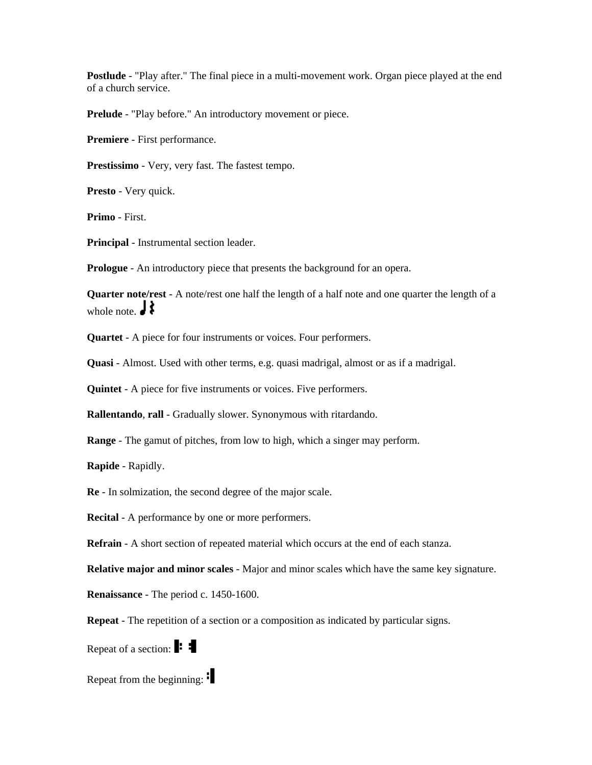**Postlude** - "Play after." The final piece in a multi-movement work. Organ piece played at the end of a church service.

**Prelude** - "Play before." An introductory movement or piece.

**Premiere** - First performance.

**Prestissimo** - Very, very fast. The fastest tempo.

**Presto** - Very quick.

**Primo** - First.

**Principal** - Instrumental section leader.

**Prologue** - An introductory piece that presents the background for an opera.

**Quarter note/rest** - A note/rest one half the length of a half note and one quarter the length of a whole note.  $\mathbf{J}$ 

**Quartet** - A piece for four instruments or voices. Four performers.

**Quasi** - Almost. Used with other terms, e.g. quasi madrigal, almost or as if a madrigal.

**Quintet** - A piece for five instruments or voices. Five performers.

**Rallentando**, **rall** - Gradually slower. Synonymous with ritardando.

**Range** - The gamut of pitches, from low to high, which a singer may perform.

**Rapide** - Rapidly.

**Re** - In solmization, the second degree of the major scale.

**Recital** - A performance by one or more performers.

**Refrain** - A short section of repeated material which occurs at the end of each stanza.

**Relative major and minor scales** - Major and minor scales which have the same key signature.

**Renaissance** - The period c. 1450-1600.

**Repeat** - The repetition of a section or a composition as indicated by particular signs.

Repeat of a section:  $\blacksquare$ 

Repeat from the beginning: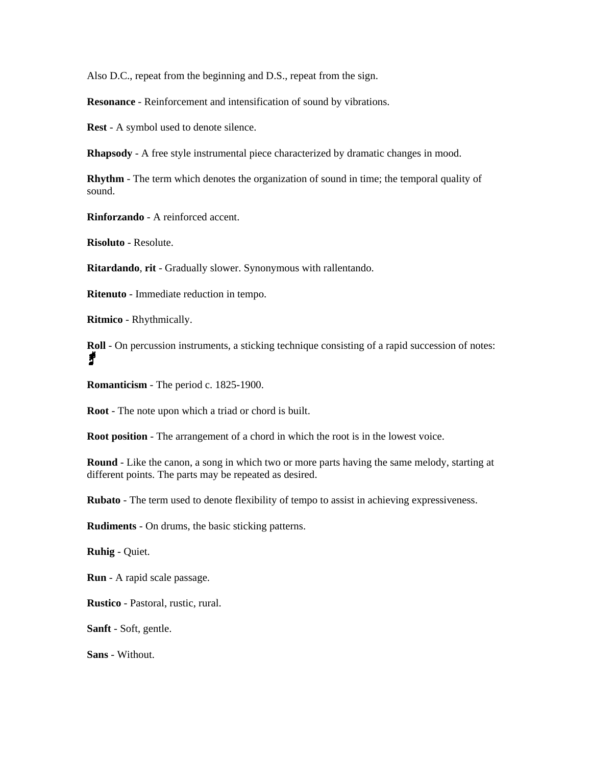Also D.C., repeat from the beginning and D.S., repeat from the sign.

**Resonance** - Reinforcement and intensification of sound by vibrations.

**Rest** - A symbol used to denote silence.

**Rhapsody** - A free style instrumental piece characterized by dramatic changes in mood.

**Rhythm** - The term which denotes the organization of sound in time; the temporal quality of sound.

**Rinforzando** - A reinforced accent.

**Risoluto** - Resolute.

**Ritardando**, **rit** - Gradually slower. Synonymous with rallentando.

**Ritenuto** - Immediate reduction in tempo.

**Ritmico** - Rhythmically.

**Roll** - On percussion instruments, a sticking technique consisting of a rapid succession of notes: f

**Romanticism** - The period c. 1825-1900.

**Root** - The note upon which a triad or chord is built.

**Root position** - The arrangement of a chord in which the root is in the lowest voice.

**Round** - Like the canon, a song in which two or more parts having the same melody, starting at different points. The parts may be repeated as desired.

**Rubato** - The term used to denote flexibility of tempo to assist in achieving expressiveness.

**Rudiments** - On drums, the basic sticking patterns.

**Ruhig** - Quiet.

**Run** - A rapid scale passage.

**Rustico** - Pastoral, rustic, rural.

**Sanft** - Soft, gentle.

**Sans** - Without.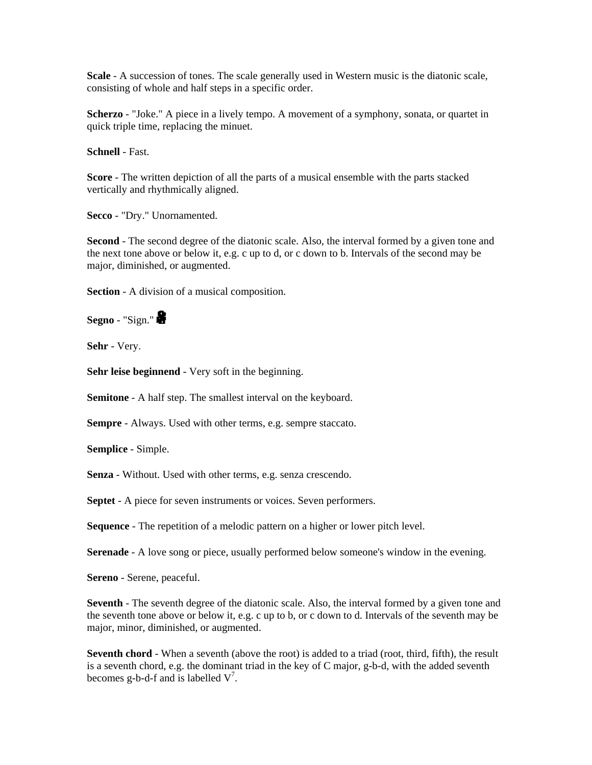**Scale** - A succession of tones. The scale generally used in Western music is the diatonic scale, consisting of whole and half steps in a specific order.

**Scherzo** - "Joke." A piece in a lively tempo. A movement of a symphony, sonata, or quartet in quick triple time, replacing the minuet.

**Schnell** - Fast.

**Score** - The written depiction of all the parts of a musical ensemble with the parts stacked vertically and rhythmically aligned.

**Secco** - "Dry." Unornamented.

**Second** - The second degree of the diatonic scale. Also, the interval formed by a given tone and the next tone above or below it, e.g. c up to d, or c down to b. Intervals of the second may be major, diminished, or augmented.

**Section** - A division of a musical composition.

**Segno** - "Sign."

**Sehr** - Very.

**Sehr leise beginnend** - Very soft in the beginning.

**Semitone** - A half step. The smallest interval on the keyboard.

**Sempre** - Always. Used with other terms, e.g. sempre staccato.

**Semplice** - Simple.

**Senza** - Without. Used with other terms, e.g. senza crescendo.

**Septet** - A piece for seven instruments or voices. Seven performers.

**Sequence** - The repetition of a melodic pattern on a higher or lower pitch level.

**Serenade** - A love song or piece, usually performed below someone's window in the evening.

**Sereno** - Serene, peaceful.

**Seventh** - The seventh degree of the diatonic scale. Also, the interval formed by a given tone and the seventh tone above or below it, e.g. c up to b, or c down to d. Intervals of the seventh may be major, minor, diminished, or augmented.

**Seventh chord** - When a seventh (above the root) is added to a triad (root, third, fifth), the result is a seventh chord, e.g. the dominant triad in the key of C major, g-b-d, with the added seventh becomes g-b-d-f and is labelled  $V^7$ .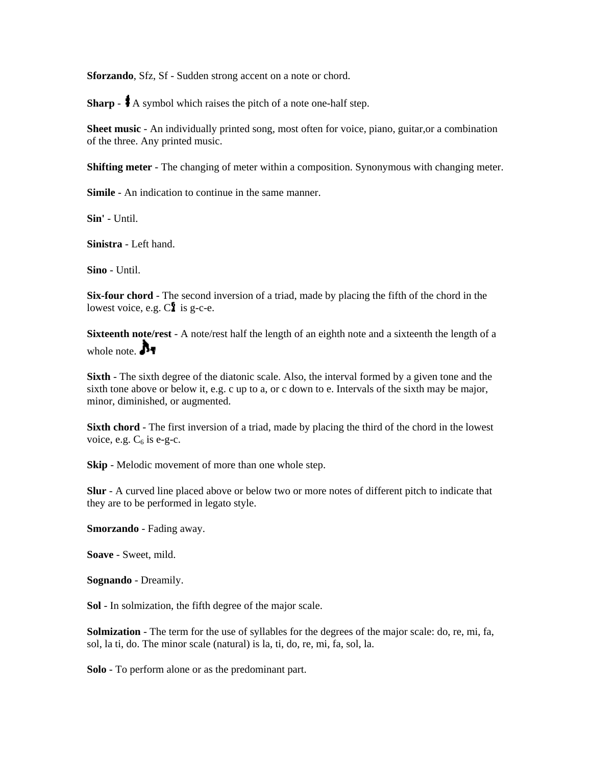**Sforzando**, Sfz, Sf - Sudden strong accent on a note or chord.

**Sharp** -  $\uparrow$  A symbol which raises the pitch of a note one-half step.

**Sheet music** - An individually printed song, most often for voice, piano, guitar,or a combination of the three. Any printed music.

**Shifting meter** - The changing of meter within a composition. Synonymous with changing meter.

**Simile** - An indication to continue in the same manner.

**Sin'** - Until.

**Sinistra** - Left hand.

**Sino** - Until.

**Six-four chord** - The second inversion of a triad, made by placing the fifth of the chord in the lowest voice, e.g.  $C<sub>i</sub>$  is g-c-e.

**Sixteenth note/rest** - A note/rest half the length of an eighth note and a sixteenth the length of a whole note.  $\mathbf{A}_{\mathbf{I}}$ 

**Sixth** - The sixth degree of the diatonic scale. Also, the interval formed by a given tone and the sixth tone above or below it, e.g. c up to a, or c down to e. Intervals of the sixth may be major, minor, diminished, or augmented.

**Sixth chord** - The first inversion of a triad, made by placing the third of the chord in the lowest voice, e.g.  $C_6$  is e-g-c.

**Skip** - Melodic movement of more than one whole step.

**Slur** - A curved line placed above or below two or more notes of different pitch to indicate that they are to be performed in legato style.

**Smorzando** - Fading away.

**Soave** - Sweet, mild.

**Sognando** - Dreamily.

**Sol** - In solmization, the fifth degree of the major scale.

**Solmization** - The term for the use of syllables for the degrees of the major scale: do, re, mi, fa, sol, la ti, do. The minor scale (natural) is la, ti, do, re, mi, fa, sol, la.

**Solo** - To perform alone or as the predominant part.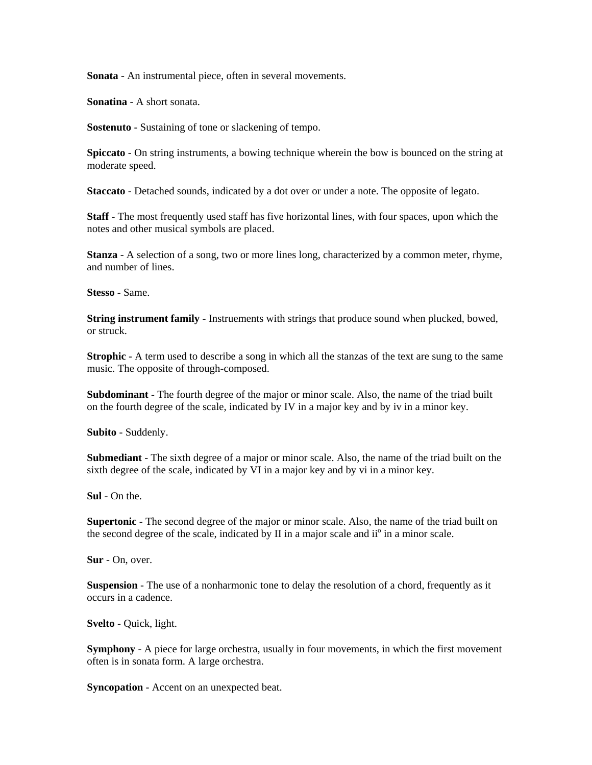**Sonata** - An instrumental piece, often in several movements.

**Sonatina** - A short sonata.

**Sostenuto** - Sustaining of tone or slackening of tempo.

**Spiccato** - On string instruments, a bowing technique wherein the bow is bounced on the string at moderate speed.

**Staccato** - Detached sounds, indicated by a dot over or under a note. The opposite of legato.

**Staff** - The most frequently used staff has five horizontal lines, with four spaces, upon which the notes and other musical symbols are placed.

**Stanza** - A selection of a song, two or more lines long, characterized by a common meter, rhyme, and number of lines.

**Stesso** - Same.

**String instrument family** - Instruements with strings that produce sound when plucked, bowed, or struck.

**Strophic** - A term used to describe a song in which all the stanzas of the text are sung to the same music. The opposite of through-composed.

**Subdominant** - The fourth degree of the major or minor scale. Also, the name of the triad built on the fourth degree of the scale, indicated by IV in a major key and by iv in a minor key.

**Subito** - Suddenly.

**Submediant** - The sixth degree of a major or minor scale. Also, the name of the triad built on the sixth degree of the scale, indicated by VI in a major key and by vi in a minor key.

**Sul** - On the.

**Supertonic** - The second degree of the major or minor scale. Also, the name of the triad built on the second degree of the scale, indicated by II in a major scale and ii<sup>o</sup> in a minor scale.

**Sur** - On, over.

**Suspension** - The use of a nonharmonic tone to delay the resolution of a chord, frequently as it occurs in a cadence.

**Svelto** - Quick, light.

**Symphony** - A piece for large orchestra, usually in four movements, in which the first movement often is in sonata form. A large orchestra.

**Syncopation** - Accent on an unexpected beat.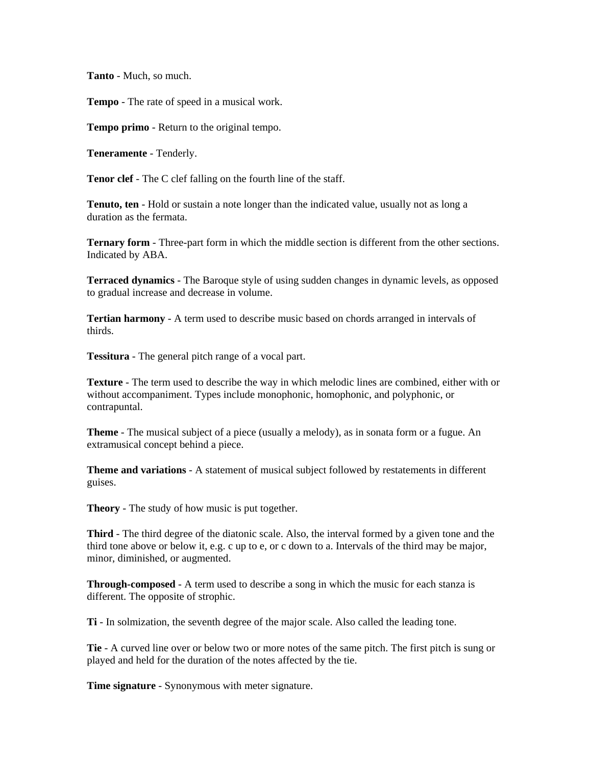**Tanto** - Much, so much.

**Tempo** - The rate of speed in a musical work.

**Tempo primo** - Return to the original tempo.

**Teneramente** - Tenderly.

**Tenor clef** - The C clef falling on the fourth line of the staff.

**Tenuto, ten** - Hold or sustain a note longer than the indicated value, usually not as long a duration as the fermata.

**Ternary form** - Three-part form in which the middle section is different from the other sections. Indicated by ABA.

**Terraced dynamics** - The Baroque style of using sudden changes in dynamic levels, as opposed to gradual increase and decrease in volume.

**Tertian harmony** - A term used to describe music based on chords arranged in intervals of thirds.

**Tessitura** - The general pitch range of a vocal part.

**Texture** - The term used to describe the way in which melodic lines are combined, either with or without accompaniment. Types include monophonic, homophonic, and polyphonic, or contrapuntal.

**Theme** - The musical subject of a piece (usually a melody), as in sonata form or a fugue. An extramusical concept behind a piece.

**Theme and variations** - A statement of musical subject followed by restatements in different guises.

**Theory** - The study of how music is put together.

**Third** - The third degree of the diatonic scale. Also, the interval formed by a given tone and the third tone above or below it, e.g. c up to e, or c down to a. Intervals of the third may be major, minor, diminished, or augmented.

**Through-composed** - A term used to describe a song in which the music for each stanza is different. The opposite of strophic.

**Ti** - In solmization, the seventh degree of the major scale. Also called the leading tone.

**Tie** - A curved line over or below two or more notes of the same pitch. The first pitch is sung or played and held for the duration of the notes affected by the tie.

**Time signature** - Synonymous with meter signature.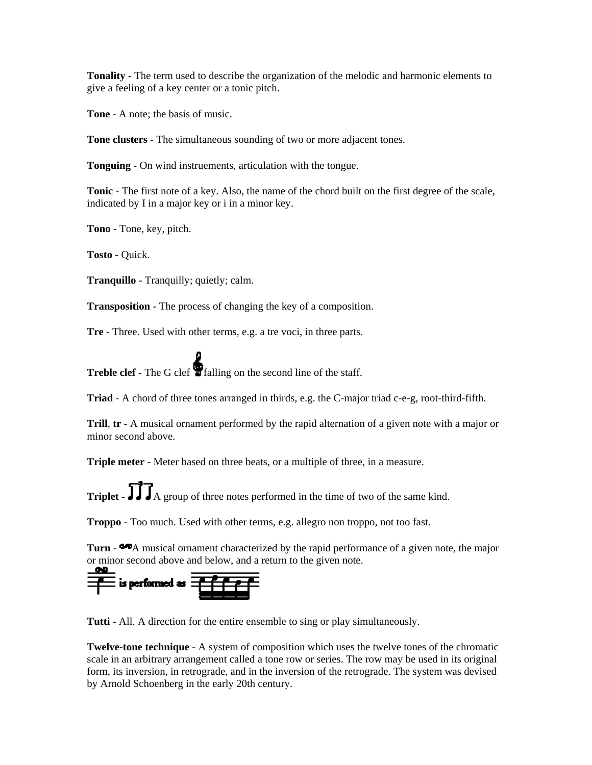**Tonality** - The term used to describe the organization of the melodic and harmonic elements to give a feeling of a key center or a tonic pitch.

**Tone** - A note; the basis of music.

**Tone clusters** - The simultaneous sounding of two or more adjacent tones.

**Tonguing** - On wind instruements, articulation with the tongue.

**Tonic** - The first note of a key. Also, the name of the chord built on the first degree of the scale, indicated by I in a major key or i in a minor key.

**Tono** - Tone, key, pitch.

**Tosto** - Quick.

**Tranquillo** - Tranquilly; quietly; calm.

**Transposition** - The process of changing the key of a composition.

**Tre** - Three. Used with other terms, e.g. a tre voci, in three parts.

**Treble clef** - The G clef **T** falling on the second line of the staff.

**Triad** - A chord of three tones arranged in thirds, e.g. the C-major triad c-e-g, root-third-fifth.

**Trill**, **tr** - A musical ornament performed by the rapid alternation of a given note with a major or minor second above.

**Triple meter** - Meter based on three beats, or a multiple of three, in a measure.

**Triplet** -  $\prod_{n=1}^{\infty} \prod_{n=1}^{\infty}$  a group of three notes performed in the time of two of the same kind.

**Troppo** - Too much. Used with other terms, e.g. allegro non troppo, not too fast.

**Turn** -  $\bullet$  A musical ornament characterized by the rapid performance of a given note, the major or minor second above and below, and a return to the given note.

 $\equiv$  is performed as  $\equiv$ 

**Tutti** - All. A direction for the entire ensemble to sing or play simultaneously.

**Twelve-tone technique** - A system of composition which uses the twelve tones of the chromatic scale in an arbitrary arrangement called a tone row or series. The row may be used in its original form, its inversion, in retrograde, and in the inversion of the retrograde. The system was devised by Arnold Schoenberg in the early 20th century.